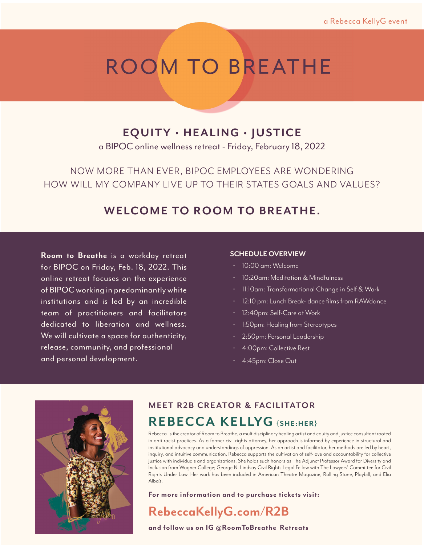# ROOM TO BREATHE

## **EQUITY • HEALING • JUSTICE**

a BIPOC online wellness retreat - Friday, February 18, 2022

NOW MORE THAN EVER, BIPOC EMPLOYEES ARE WONDERING HOW WILL MY COMPANY LIVE UP TO THEIR STATES GOALS AND VALUES?

## **WELCOME TO ROOM TO BREATHE.**

**Room to Breathe** is a workday retreat for BIPOC on Friday, Feb. 18, 2022. This online retreat focuses on the experience of BIPOC working in predominantly white institutions and is led by an incredible team of practitioners and facilitators dedicated to liberation and wellness. We will cultivate a space for authenticity, release, community, and professional and personal development.

### **SCHEDULE OVERVIEW**

- 10:00 am: Welcome
- 10:20am: Meditation & Mindfulness
- 11:10am: Transformational Change in Self & Work
- 12:10 pm: Lunch Break- dance films from RAWdance
- 12:40pm: Self-Care at Work
- 1:50pm: Healing from Stereotypes
- 2:50pm: Personal Leadership
- 4:00pm: Collective Rest
- 4:45pm: Close Out



### **MEET R2B CREATOR & FACILITATOR R E B ECC A K E L LYG {SHE:HER}**

Rebecca is the creator of Room to Breathe, a multidisciplinary healing artist and equity and justice consultant rooted in anti-racist practices. As a former civil rights attorney, her approach is informed by experience in structural and institutional advocacy and understandings of oppression. As an artist and facilitator, her methods are led by heart, inquiry, and intuitive communication. Rebecca supports the cultivation of self-love and accountability for collective justice with individuals and organizations. She holds such honors as The Adjunct Professor Award for Diversity and Inclusion from Wagner College; George N. Lindsay Civil Rights Legal Fellow with The Lawyers' Committee for Civil Rights Under Law. Her work has been included in American Theatre Magazine, Rolling Stone, Playbill, and Elia Alba's.

**For more information and to purchase tickets visit:**

## **RebeccaKellyG.com/R2B**

**and follow us on IG @RoomToBreathe\_Retreats**